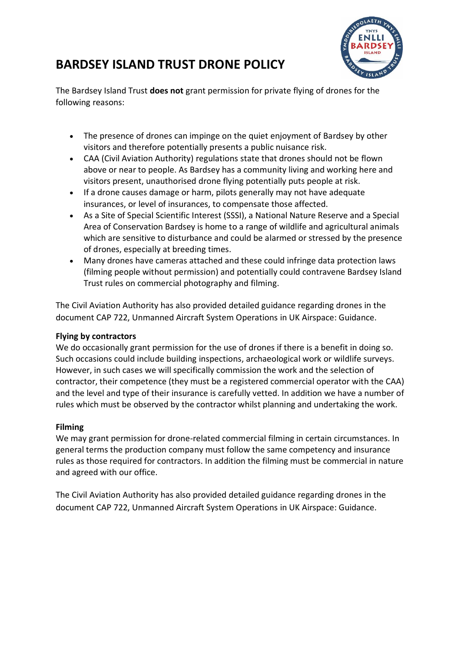## **BARDSEY ISLAND TRUST DRONE POLICY**



The Bardsey Island Trust **does not** grant permission for private flying of drones for the following reasons:

- The presence of drones can impinge on the quiet enjoyment of Bardsey by other visitors and therefore potentially presents a public nuisance risk.
- CAA (Civil Aviation Authority) regulations state that drones should not be flown above or near to people. As Bardsey has a community living and working here and visitors present, unauthorised drone flying potentially puts people at risk.
- If a drone causes damage or harm, pilots generally may not have adequate insurances, or level of insurances, to compensate those affected.
- As a Site of Special Scientific Interest (SSSI), a National Nature Reserve and a Special Area of Conservation Bardsey is home to a range of wildlife and agricultural animals which are sensitive to disturbance and could be alarmed or stressed by the presence of drones, especially at breeding times.
- Many drones have cameras attached and these could infringe data protection laws (filming people without permission) and potentially could contravene Bardsey Island Trust rules on commercial photography and filming.

The Civil Aviation Authority has also provided detailed guidance regarding drones in the document CAP 722, Unmanned Aircraft System Operations in UK Airspace: Guidance.

## **Flying by contractors**

We do occasionally grant permission for the use of drones if there is a benefit in doing so. Such occasions could include building inspections, archaeological work or wildlife surveys. However, in such cases we will specifically commission the work and the selection of contractor, their competence (they must be a registered commercial operator with the CAA) and the level and type of their insurance is carefully vetted. In addition we have a number of rules which must be observed by the contractor whilst planning and undertaking the work.

## **Filming**

We may grant permission for drone-related commercial filming in certain circumstances. In general terms the production company must follow the same competency and insurance rules as those required for contractors. In addition the filming must be commercial in nature and agreed with our office.

The Civil Aviation Authority has also provided detailed guidance regarding drones in the document CAP 722, Unmanned Aircraft System Operations in UK Airspace: Guidance.